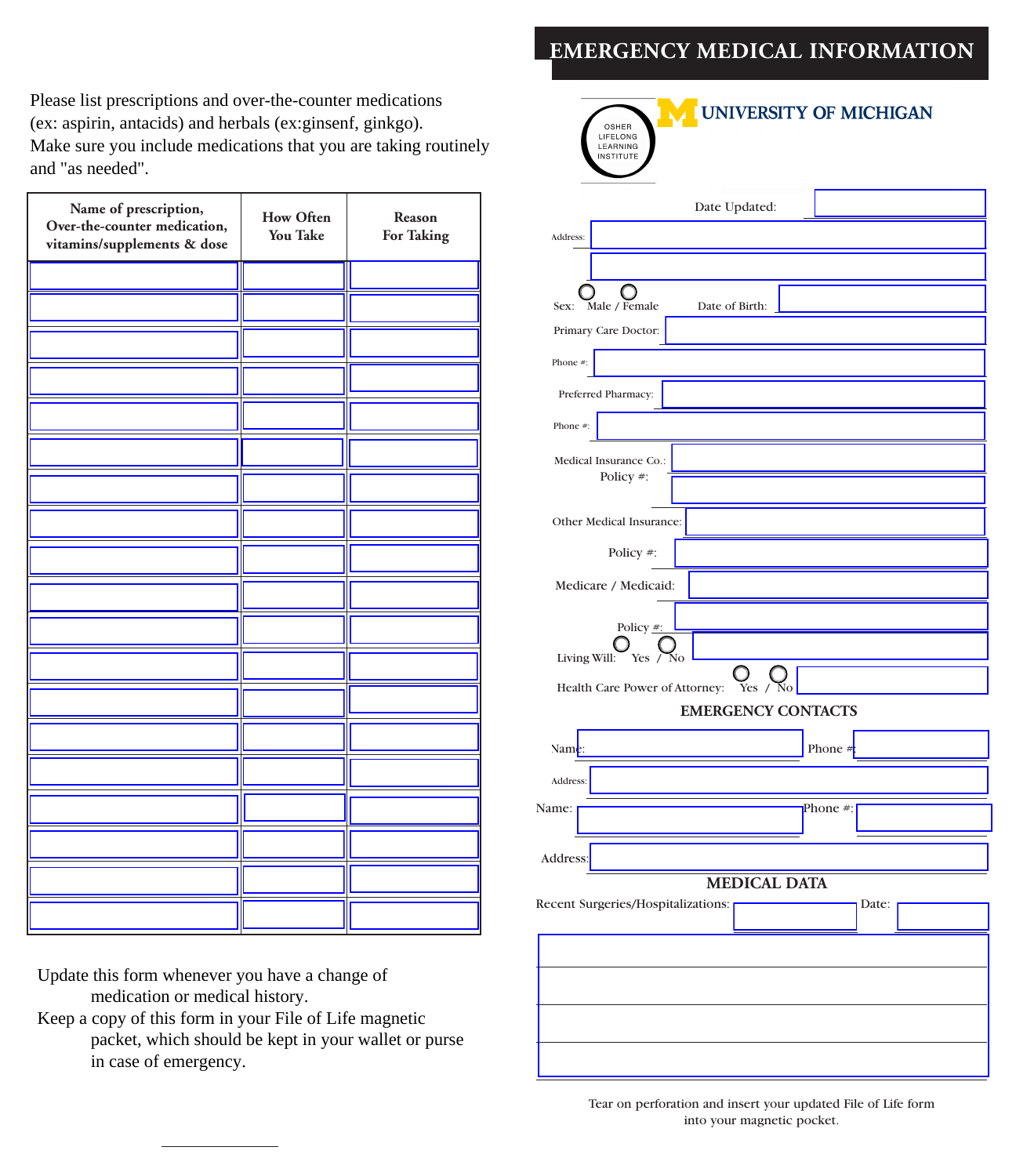## **EMERGENCY MEDICAL INFORMATION**

Please list prescriptions and over-the-counter medications (ex: aspirin, antacids) and herbals (ex:ginsenf, ginkgo). Make sure you include medications that you are taking routinely and "as needed".

| Name of prescription,<br>Over-the-counter medication,<br>vitamins/supplements & dose | <b>How Often</b><br><b>You Take</b> | Reason<br><b>For Taking</b> |
|--------------------------------------------------------------------------------------|-------------------------------------|-----------------------------|
|                                                                                      |                                     |                             |
|                                                                                      |                                     |                             |
|                                                                                      |                                     |                             |
|                                                                                      |                                     |                             |
|                                                                                      |                                     |                             |
|                                                                                      |                                     |                             |
|                                                                                      |                                     |                             |
|                                                                                      |                                     |                             |
|                                                                                      |                                     |                             |
|                                                                                      |                                     |                             |
|                                                                                      |                                     |                             |
|                                                                                      |                                     |                             |
|                                                                                      |                                     |                             |
|                                                                                      |                                     |                             |
|                                                                                      |                                     |                             |
|                                                                                      |                                     |                             |
|                                                                                      |                                     |                             |
|                                                                                      |                                     |                             |
|                                                                                      |                                     |                             |

Update this form whenever you have a change of medication or medical history.

Keep a copy of this form in your File of Life magnetic packet, which should be kept in your wallet or purse in case of emergency.

| UNIVERSITY OF MICHIGAN<br>OSHER                           |       |
|-----------------------------------------------------------|-------|
| LIFELONG<br>LEARNING<br><b>INSTITUTE</b>                  |       |
|                                                           |       |
| Date Updated:                                             |       |
| Address:                                                  |       |
|                                                           |       |
| Male / Female<br>Date of Birth:<br>Sex:                   |       |
| Primary Care Doctor:                                      |       |
| Phone #:                                                  |       |
| Preferred Pharmacy:                                       |       |
| Phone #:                                                  |       |
| Medical Insurance Co.:                                    |       |
| Policy #:                                                 |       |
| Other Medical Insurance:                                  |       |
|                                                           |       |
| Policy #:                                                 |       |
| Medicare / Medicaid:                                      |       |
| Policy #:                                                 |       |
| Living Will:<br>Yes $/$ No                                |       |
| Health Care Power of Attorney: Yes / No                   |       |
| <b>EMERGENCY CONTACTS</b>                                 |       |
| Phone $#$<br>Name:                                        |       |
| Address:                                                  |       |
| Phone #:<br>Name:                                         |       |
|                                                           |       |
| Address:                                                  |       |
| <b>MEDICAL DATA</b><br>Recent Surgeries/Hospitalizations: | Date: |
|                                                           |       |
|                                                           |       |
|                                                           |       |
|                                                           |       |
|                                                           |       |
|                                                           |       |